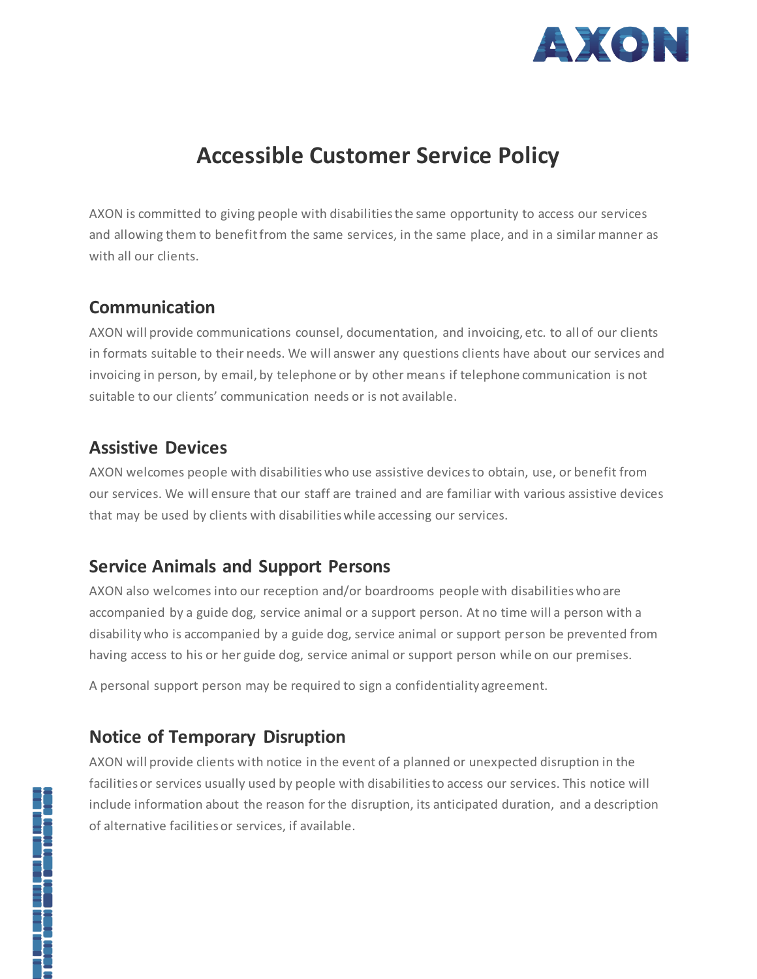

# **Accessible Customer Service Policy**

AXON is committed to giving people with disabilities the same opportunity to access our services and allowing them to benefit from the same services, in the same place, and in a similar manner as with all our clients.

### **Communication**

AXON will provide communications counsel, documentation, and invoicing, etc. to all of our clients in formats suitable to their needs. We will answer any questions clients have about our services and invoicing in person, by email, by telephone or by other means if telephone communication is not suitable to our clients' communication needs or is not available.

#### **Assistive Devices**

AXON welcomes people with disabilities who use assistive devices to obtain, use, or benefit from our services. We will ensure that our staff are trained and are familiar with various assistive devices that may be used by clients with disabilities while accessing our services.

#### **Service Animals and Support Persons**

AXON also welcomes into our reception and/or boardrooms people with disabilities who are accompanied by a guide dog, service animal or a support person. At no time will a person with a disability who is accompanied by a guide dog, service animal or support person be prevented from having access to his or her guide dog, service animal or support person while on our premises.

A personal support person may be required to sign a confidentiality agreement.

#### **Notice of Temporary Disruption**

AXON will provide clients with notice in the event of a planned or unexpected disruption in the facilities or services usually used by people with disabilities to access our services. This notice will include information about the reason for the disruption, its anticipated duration, and a description of alternative facilities or services, if available.